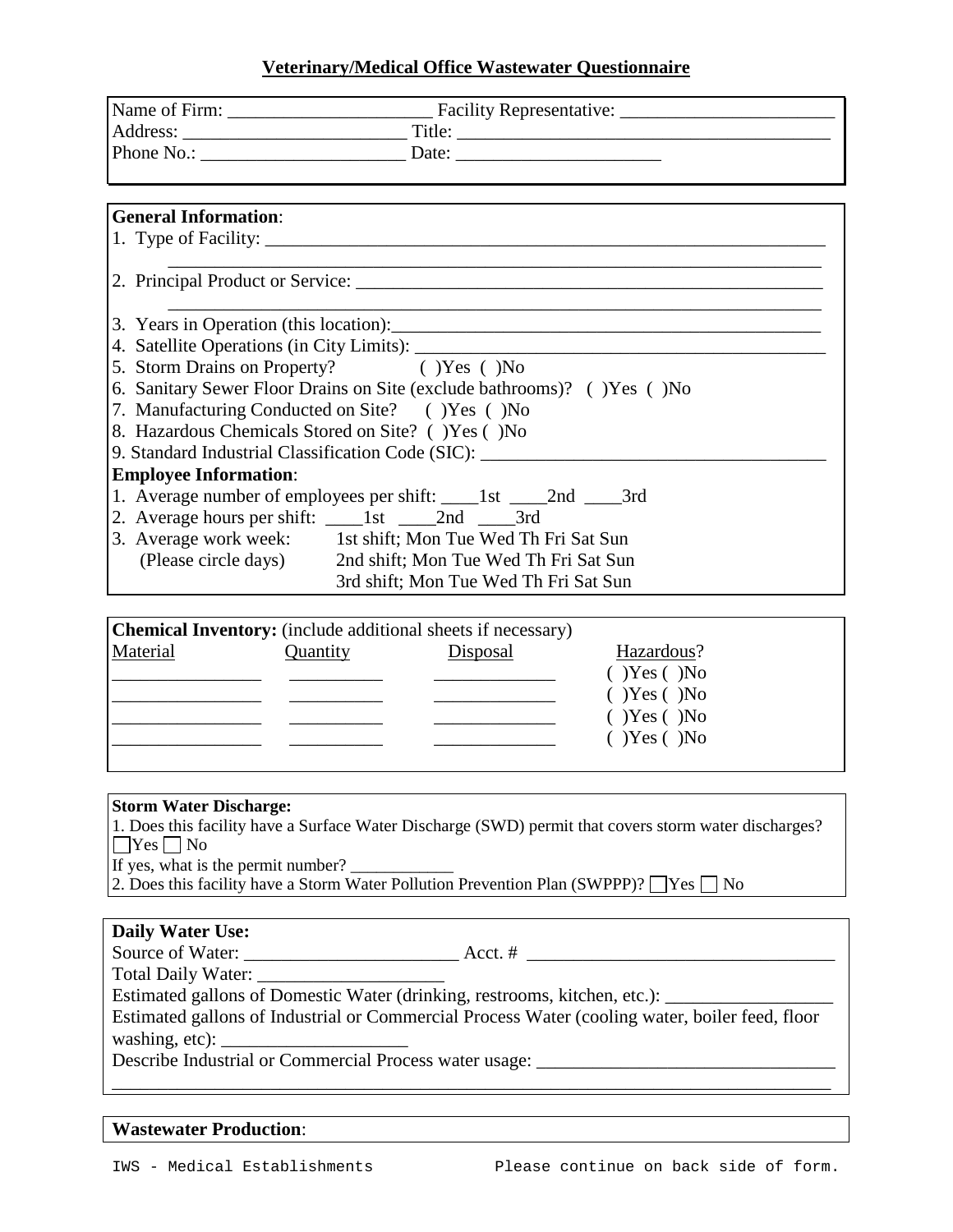# **Veterinary/Medical Office Wastewater Questionnaire**

| <b>General Information:</b>                       |                                                                                  |  |
|---------------------------------------------------|----------------------------------------------------------------------------------|--|
|                                                   |                                                                                  |  |
|                                                   |                                                                                  |  |
|                                                   | 2. Principal Product or Service:                                                 |  |
|                                                   |                                                                                  |  |
| 3. Years in Operation (this location):            |                                                                                  |  |
|                                                   |                                                                                  |  |
| 5. Storm Drains on Property? () Yes () No         |                                                                                  |  |
|                                                   | 6. Sanitary Sewer Floor Drains on Site (exclude bathrooms)? () Yes () No         |  |
| 7. Manufacturing Conducted on Site? () Yes () No  |                                                                                  |  |
| 8. Hazardous Chemicals Stored on Site? ()Yes ()No |                                                                                  |  |
|                                                   | 9. Standard Industrial Classification Code (SIC): ______________________________ |  |
| <b>Employee Information:</b>                      |                                                                                  |  |
|                                                   | 1. Average number of employees per shift: ______1st _____2nd ______3rd           |  |
|                                                   |                                                                                  |  |
|                                                   | 3. Average work week: 1st shift; Mon Tue Wed Th Fri Sat Sun                      |  |
|                                                   | (Please circle days) 2nd shift; Mon Tue Wed Th Fri Sat Sun                       |  |
|                                                   | 3rd shift; Mon Tue Wed Th Fri Sat Sun                                            |  |

|          |          | <b>Chemical Inventory:</b> (include additional sheets if necessary) |                    |  |
|----------|----------|---------------------------------------------------------------------|--------------------|--|
| Material | Quantity | Disposal                                                            | Hazardous?         |  |
|          |          |                                                                     | $(Y)$ Yes $(Y)$ No |  |
|          |          |                                                                     | $(Y)$ Yes $(Y)$ No |  |
|          |          |                                                                     | $(Y)$ Yes $(Y)$ No |  |
|          |          |                                                                     | $(Y)$ Yes $(Y)$ No |  |
|          |          |                                                                     |                    |  |

# **Storm Water Discharge:**

1. Does this facility have a Surface Water Discharge (SWD) permit that covers storm water discharges?  $\Box$  Yes  $\Box$  No

If yes, what is the permit number?  $\overline{\phantom{a}}$ 

2. Does this facility have a Storm Water Pollution Prevention Plan (SWPPP)?  $\Box$  Yes  $\Box$  No

|  | <b>Daily Water Use:</b> |  |
|--|-------------------------|--|
|--|-------------------------|--|

Source of Water: \_\_\_\_\_\_\_\_\_\_\_\_\_\_\_\_\_\_\_\_\_\_\_ Acct. # \_\_\_\_\_\_\_\_\_\_\_\_\_\_\_\_\_\_\_\_\_\_\_\_\_\_\_\_\_\_\_\_\_

Total Daily Water:

Estimated gallons of Domestic Water (drinking, restrooms, kitchen, etc.): \_\_\_\_\_\_\_\_\_\_\_\_\_

Estimated gallons of Industrial or Commercial Process Water (cooling water, boiler feed, floor washing, etc):

\_\_\_\_\_\_\_\_\_\_\_\_\_\_\_\_\_\_\_\_\_\_\_\_\_\_\_\_\_\_\_\_\_\_\_\_\_\_\_\_\_\_\_\_\_\_\_\_\_\_\_\_\_\_\_\_\_\_\_\_\_\_\_\_\_\_\_\_\_\_\_\_\_\_\_\_\_

Describe Industrial or Commercial Process water usage: \_\_\_\_\_\_\_\_\_\_\_\_\_\_\_\_\_\_\_\_\_\_\_\_\_

# **Wastewater Production**: